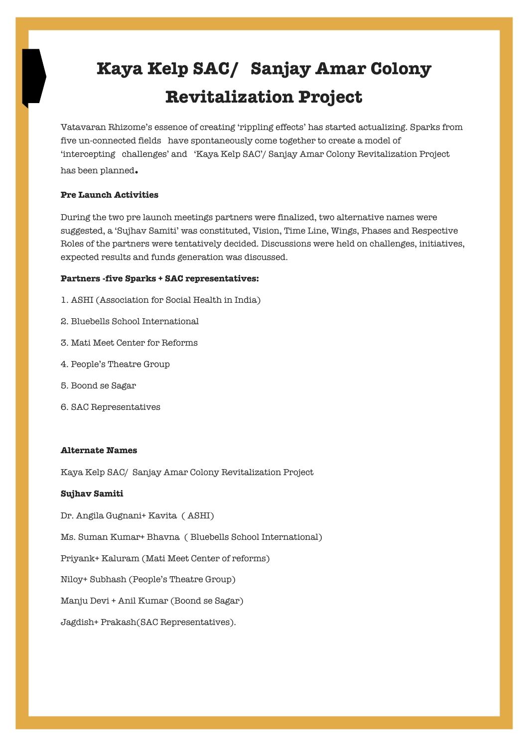# **Kaya Kelp SAC/ Sanjay Amar Colony Revitalization Project**

Vatavaran Rhizome's essence of creating 'rippling effects' has started actualizing. Sparks from five un-connected fields have spontaneously come together to create a model of 'intercepting challenges' and 'Kaya Kelp SAC'/ Sanjay Amar Colony Revitalization Project has been planned**.**

#### **Pre Launch Activities**

During the two pre launch meetings partners were finalized, two alternative names were suggested, a 'Sujhav Samiti' was constituted, Vision, Time Line, Wings, Phases and Respective Roles of the partners were tentatively decided. Discussions were held on challenges, initiatives, expected results and funds generation was discussed.

#### **Partners -five Sparks + SAC representatives:**

- 1. ASHI (Association for Social Health in India)
- 2. Bluebells School International
- 3. Mati Meet Center for Reforms
- 4. People's Theatre Group
- 5. Boond se Sagar
- 6. SAC Representatives

#### **Alternate Names**

Kaya Kelp SAC/ Sanjay Amar Colony Revitalization Project

#### **Sujhav Samiti**

Dr. Angila Gugnani+ Kavita ( ASHI)

Ms. Suman Kumar+ Bhavna ( Bluebells School International)

Priyank+ Kaluram (Mati Meet Center of reforms)

Niloy+ Subhash (People's Theatre Group)

Manju Devi + Anil Kumar (Boond se Sagar)

Jagdish+ Prakash(SAC Representatives).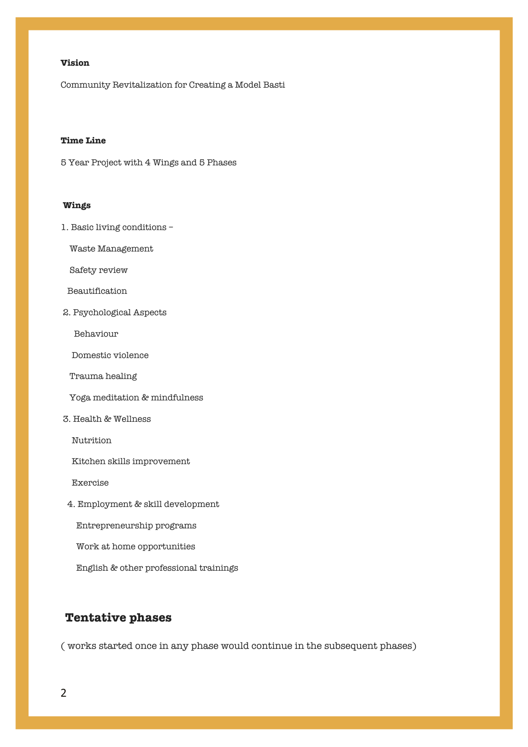# **Vision**

Community Revitalization for Creating a Model Basti

## **Time Line**

5 Year Project with 4 Wings and 5 Phases

#### **Wings**

1. Basic living conditions –

Waste Management

Safety review

Beautification

2. Psychological Aspects

Behaviour

Domestic violence

Trauma healing

Yoga meditation & mindfulness

3. Health & Wellness

Nutrition

Kitchen skills improvement

Exercise

4. Employment & skill development

Entrepreneurship programs

Work at home opportunities

English & other professional trainings

# **Tentative phases**

( works started once in any phase would continue in the subsequent phases)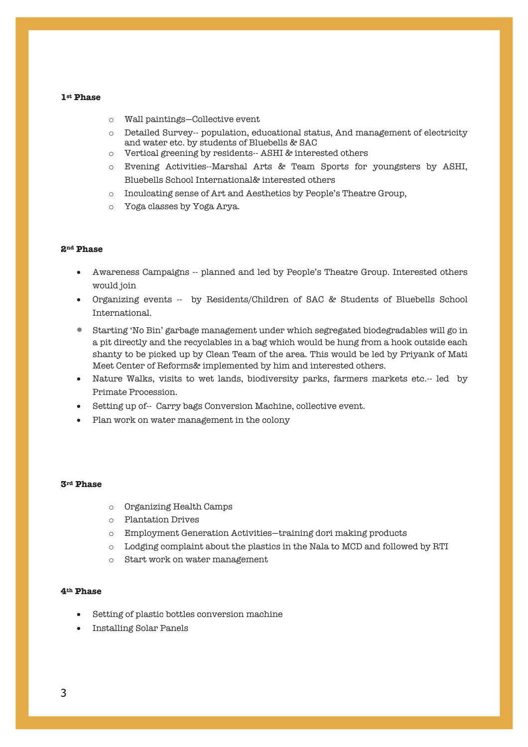#### **1st Phase**

- o Wall paintings—Collective event
- o Detailed Survey-- population, educational status, And management of electricity and water etc. by students of Bluebells & SAC
- o Vertical greening by residents-- ASHI & interested others
- o Evening Activities--Marshal Arts & Team Sports for youngsters by ASHI, Bluebells School International& interested others
- o Inculcating sense of Art and Aesthetics by People's Theatre Group,
- o Yoga classes by Yoga Arya.

#### **2nd Phase**

- Awareness Campaigns -- planned and led by People's Theatre Group. Interested others would join
- Organizing events -- by Residents/Children of SAC & Students of Bluebells School International.
- Starting 'No Bin' garbage management under which segregated biodegradables will go in a pit directly and the recyclables in a bag which would be hung from a hook outside each shanty to be picked up by Clean Team of the area. This would be led by Priyank of Mati Meet Center of Reforms& implemented by him and interested others.
- Nature Walks, visits to wet lands, biodiversity parks, farmers markets etc.-- led by Primate Procession.
- Setting up of-- Carry bags Conversion Machine, collective event.
- Plan work on water management in the colony

#### **3rd Phase**

- o Organizing Health Camps
- o Plantation Drives
- o Employment Generation Activities—training dori making products
- o Lodging complaint about the plastics in the Nala to MCD and followed by RTI
- o Start work on water management

#### **4th Phase**

- Setting of plastic bottles conversion machine
- Installing Solar Panels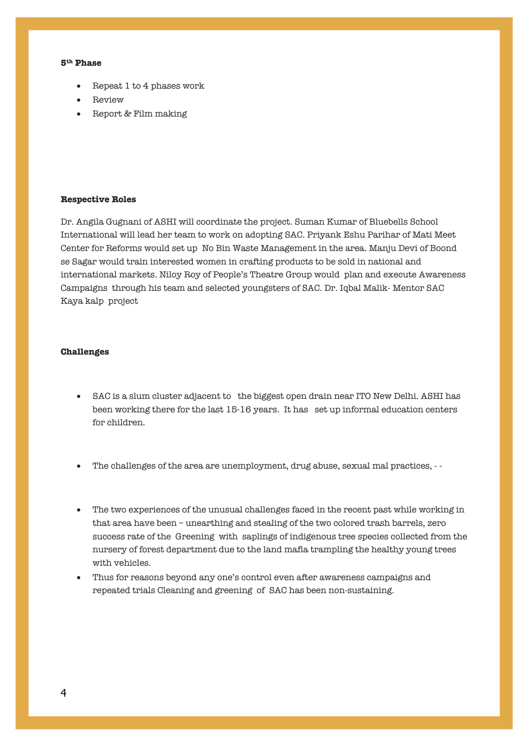#### **5th Phase**

- Repeat 1 to 4 phases work
- Review
- Report & Film making

#### **Respective Roles**

Dr. Angila Gugnani of ASHI will coordinate the project. Suman Kumar of Bluebells School International will lead her team to work on adopting SAC. Priyank Eshu Parihar of Mati Meet Center for Reforms would set up No Bin Waste Management in the area. Manju Devi of Boond se Sagar would train interested women in crafting products to be sold in national and international markets. Niloy Roy of People's Theatre Group would plan and execute Awareness Campaigns through his team and selected youngsters of SAC. Dr. Iqbal Malik- Mentor SAC Kaya kalp project

#### **Challenges**

- SAC is a slum cluster adjacent to the biggest open drain near ITO New Delhi. ASHI has been working there for the last 15-16 years. It has set up informal education centers for children.
- The challenges of the area are unemployment, drug abuse, sexual mal practices, -
- The two experiences of the unusual challenges faced in the recent past while working in that area have been – unearthing and stealing of the two colored trash barrels, zero success rate of the Greening with saplings of indigenous tree species collected from the nursery of forest department due to the land mafia trampling the healthy young trees with vehicles.
- Thus for reasons beyond any one's control even after awareness campaigns and repeated trials Cleaning and greening of SAC has been non-sustaining.